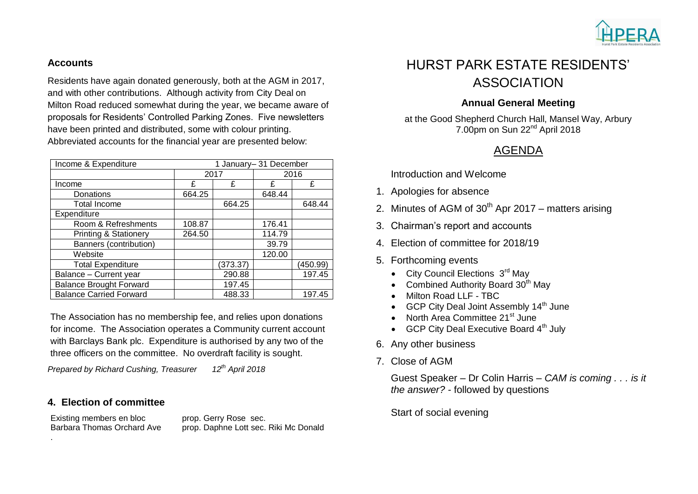

#### **Accounts**

Residents have again donated generously, both at the AGM in 2017, and with other contributions. Although activity from City Deal on Milton Road reduced somewhat during the year, we became aware of proposals for Residents' Controlled Parking Zones. Five newsletters have been printed and distributed, some with colour printing. Abbreviated accounts for the financial year are presented below:

| Income & Expenditure           | 1 January-31 December |          |        |          |
|--------------------------------|-----------------------|----------|--------|----------|
|                                | 2017                  |          | 2016   |          |
| Income                         | £                     | £        | £      | £        |
| Donations                      | 664.25                |          | 648.44 |          |
| <b>Total Income</b>            |                       | 664.25   |        | 648.44   |
| Expenditure                    |                       |          |        |          |
| Room & Refreshments            | 108.87                |          | 176.41 |          |
| Printing & Stationery          | 264.50                |          | 114.79 |          |
| Banners (contribution)         |                       |          | 39.79  |          |
| Website                        |                       |          | 120.00 |          |
| <b>Total Expenditure</b>       |                       | (373.37) |        | (450.99) |
| Balance - Current year         |                       | 290.88   |        | 197.45   |
| <b>Balance Brought Forward</b> |                       | 197.45   |        |          |
| <b>Balance Carried Forward</b> |                       | 488.33   |        | 197.45   |

The Association has no membership fee, and relies upon donations for income. The Association operates a Community current account with Barclays Bank plc. Expenditure is authorised by any two of the three officers on the committee. No overdraft facility is sought.

*Prepared by Richard Cushing, Treasurer 12th April 2018*

### **4. Election of committee**

Existing members en bloc prop. Gerry Rose sec.

.

Barbara Thomas Orchard Ave prop. Daphne Lott sec. Riki Mc Donald

# HURST PARK ESTATE RESIDENTS' ASSOCIATION

### **Annual General Meeting**

at the Good Shepherd Church Hall, Mansel Way, Arbury 7.00pm on Sun 22nd April 2018

## AGENDA

Introduction and Welcome

- 1. Apologies for absence
- 2. Minutes of AGM of  $30<sup>th</sup>$  Apr 2017 matters arising
- 3. Chairman's report and accounts
- 4. Election of committee for 2018/19
- 5. Forthcoming events
	- $\bullet$  City Council Elections  $3^{\text{rd}}$  May
	- Combined Authority Board 30<sup>th</sup> May
	- Milton Road LLF TBC
	- GCP City Deal Joint Assembly  $14<sup>th</sup>$  June
	- North Area Committee 21<sup>st</sup> June
	- $\bullet$  GCP City Deal Executive Board  $4<sup>th</sup>$  July
- 6. Any other business
- 7. Close of AGM

Guest Speaker – Dr Colin Harris – *CAM is coming . . . is it the answer? -* followed by questions

Start of social evening